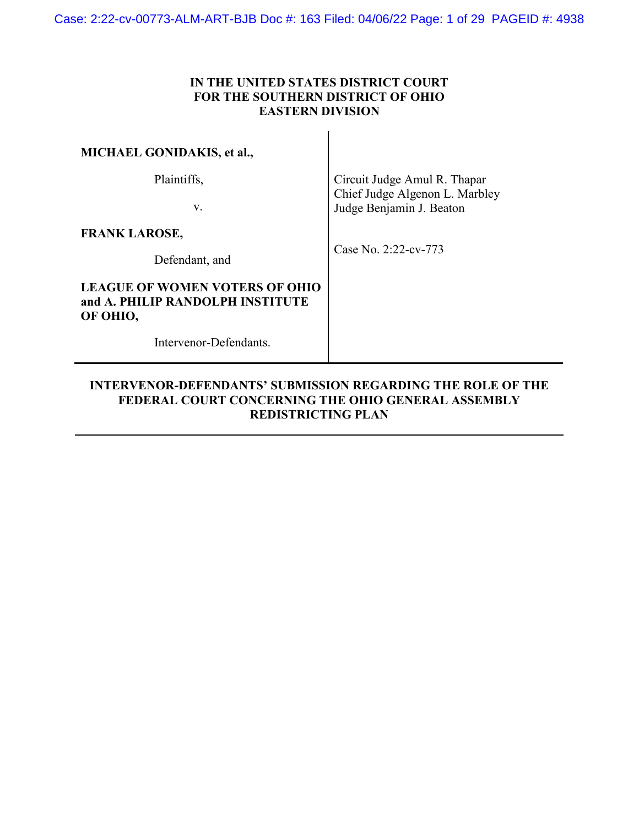# **IN THE UNITED STATES DISTRICT COURT FOR THE SOUTHERN DISTRICT OF OHIO EASTERN DIVISION**

| <b>MICHAEL GONIDAKIS, et al.,</b>                       |                                                                                            |
|---------------------------------------------------------|--------------------------------------------------------------------------------------------|
| Plaintiffs,<br>V.                                       | Circuit Judge Amul R. Thapar<br>Chief Judge Algenon L. Marbley<br>Judge Benjamin J. Beaton |
| <b>FRANK LAROSE,</b>                                    | Case No. $2:22$ -cv-773                                                                    |
| Defendant, and<br><b>LEAGUE OF WOMEN VOTERS OF OHIO</b> |                                                                                            |
| and A. PHILIP RANDOLPH INSTITUTE<br>OF OHIO,            |                                                                                            |
| Intervenor-Defendants.                                  |                                                                                            |

# **INTERVENOR-DEFENDANTS' SUBMISSION REGARDING THE ROLE OF THE FEDERAL COURT CONCERNING THE OHIO GENERAL ASSEMBLY REDISTRICTING PLAN**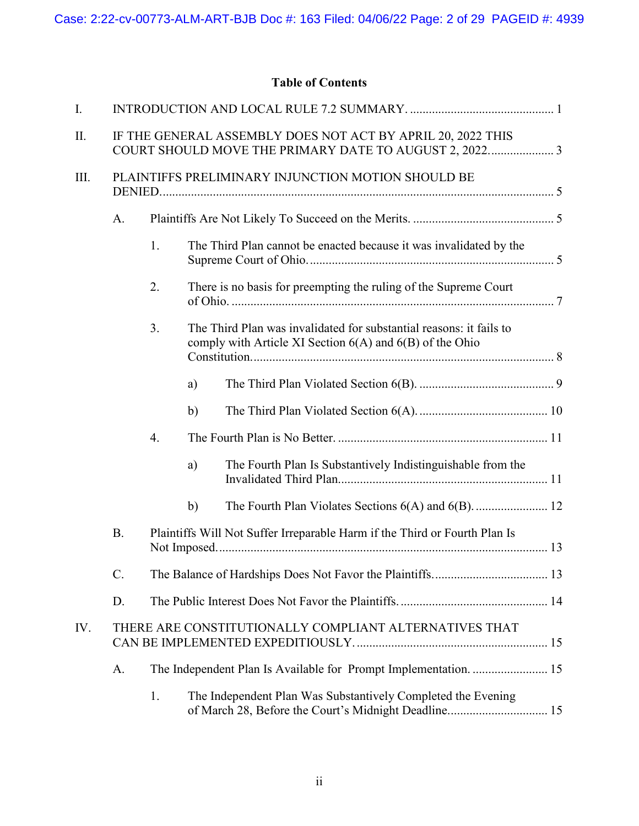# **Table of Contents**

| I.   |                                                                                                                      |                  |                                                                    |                                                                                                                                 |  |  |  |
|------|----------------------------------------------------------------------------------------------------------------------|------------------|--------------------------------------------------------------------|---------------------------------------------------------------------------------------------------------------------------------|--|--|--|
| II.  | IF THE GENERAL ASSEMBLY DOES NOT ACT BY APRIL 20, 2022 THIS<br>COURT SHOULD MOVE THE PRIMARY DATE TO AUGUST 2, 20223 |                  |                                                                    |                                                                                                                                 |  |  |  |
| III. | PLAINTIFFS PRELIMINARY INJUNCTION MOTION SHOULD BE                                                                   |                  |                                                                    |                                                                                                                                 |  |  |  |
|      | A.                                                                                                                   |                  |                                                                    |                                                                                                                                 |  |  |  |
|      |                                                                                                                      | 1.               | The Third Plan cannot be enacted because it was invalidated by the |                                                                                                                                 |  |  |  |
|      |                                                                                                                      | 2.               | There is no basis for preempting the ruling of the Supreme Court   |                                                                                                                                 |  |  |  |
|      |                                                                                                                      | 3.               |                                                                    | The Third Plan was invalidated for substantial reasons: it fails to<br>comply with Article XI Section 6(A) and 6(B) of the Ohio |  |  |  |
|      |                                                                                                                      |                  | a)                                                                 |                                                                                                                                 |  |  |  |
|      |                                                                                                                      |                  | $\mathbf{b}$                                                       |                                                                                                                                 |  |  |  |
|      |                                                                                                                      | $\overline{4}$ . |                                                                    |                                                                                                                                 |  |  |  |
|      |                                                                                                                      |                  | a)                                                                 | The Fourth Plan Is Substantively Indistinguishable from the                                                                     |  |  |  |
|      |                                                                                                                      |                  | $\mathbf{b}$                                                       |                                                                                                                                 |  |  |  |
|      | <b>B.</b>                                                                                                            |                  |                                                                    | Plaintiffs Will Not Suffer Irreparable Harm if the Third or Fourth Plan Is                                                      |  |  |  |
|      | C.                                                                                                                   |                  |                                                                    |                                                                                                                                 |  |  |  |
|      | D.                                                                                                                   |                  |                                                                    |                                                                                                                                 |  |  |  |
| IV.  | THERE ARE CONSTITUTIONALLY COMPLIANT ALTERNATIVES THAT                                                               |                  |                                                                    |                                                                                                                                 |  |  |  |
|      | A.                                                                                                                   |                  |                                                                    |                                                                                                                                 |  |  |  |
|      |                                                                                                                      | 1.               |                                                                    | The Independent Plan Was Substantively Completed the Evening<br>of March 28, Before the Court's Midnight Deadline 15            |  |  |  |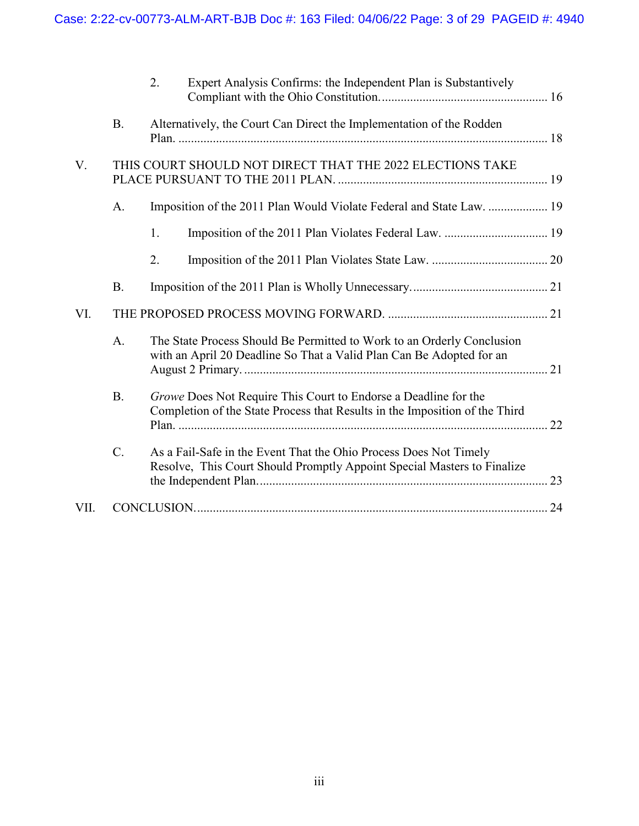|      |           | 2.                                                                                                                                             | Expert Analysis Confirms: the Independent Plan is Substantively                                                                              |  |  |  |  |
|------|-----------|------------------------------------------------------------------------------------------------------------------------------------------------|----------------------------------------------------------------------------------------------------------------------------------------------|--|--|--|--|
|      | <b>B.</b> |                                                                                                                                                | Alternatively, the Court Can Direct the Implementation of the Rodden                                                                         |  |  |  |  |
| V.   |           | THIS COURT SHOULD NOT DIRECT THAT THE 2022 ELECTIONS TAKE                                                                                      |                                                                                                                                              |  |  |  |  |
|      | A.        |                                                                                                                                                | Imposition of the 2011 Plan Would Violate Federal and State Law.  19                                                                         |  |  |  |  |
|      |           | 1.                                                                                                                                             |                                                                                                                                              |  |  |  |  |
|      |           | 2.                                                                                                                                             |                                                                                                                                              |  |  |  |  |
|      | <b>B.</b> |                                                                                                                                                |                                                                                                                                              |  |  |  |  |
| VI.  |           |                                                                                                                                                |                                                                                                                                              |  |  |  |  |
|      | A.        | The State Process Should Be Permitted to Work to an Orderly Conclusion<br>with an April 20 Deadline So That a Valid Plan Can Be Adopted for an |                                                                                                                                              |  |  |  |  |
|      | <b>B.</b> | Growe Does Not Require This Court to Endorse a Deadline for the<br>Completion of the State Process that Results in the Imposition of the Third |                                                                                                                                              |  |  |  |  |
|      | C.        |                                                                                                                                                | As a Fail-Safe in the Event That the Ohio Process Does Not Timely<br>Resolve, This Court Should Promptly Appoint Special Masters to Finalize |  |  |  |  |
| VII. |           |                                                                                                                                                |                                                                                                                                              |  |  |  |  |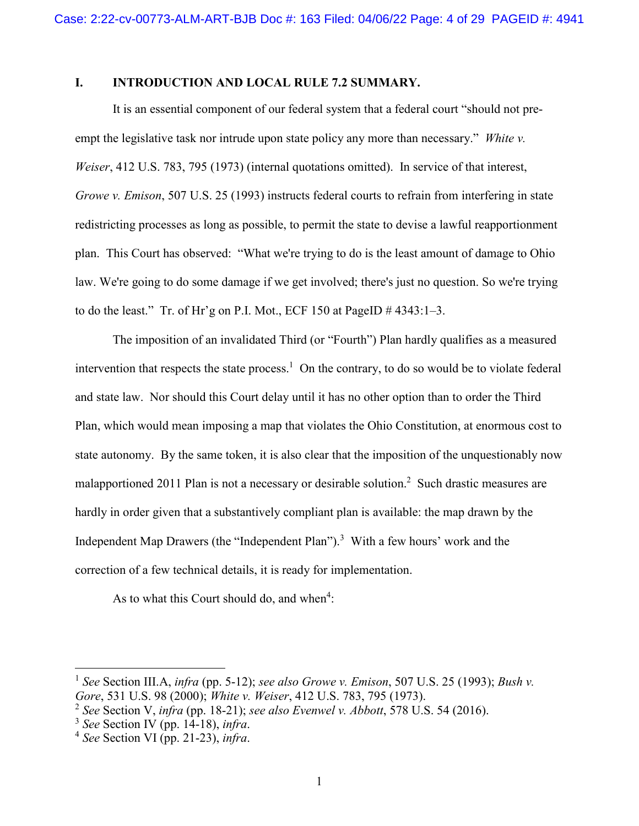### <span id="page-3-0"></span>**I. INTRODUCTION AND LOCAL RULE 7.2 SUMMARY.**

It is an essential component of our federal system that a federal court "should not preempt the legislative task nor intrude upon state policy any more than necessary." *White v. Weiser*, 412 U.S. 783, 795 (1973) (internal quotations omitted). In service of that interest, *Growe v. Emison*, 507 U.S. 25 (1993) instructs federal courts to refrain from interfering in state redistricting processes as long as possible, to permit the state to devise a lawful reapportionment plan. This Court has observed: "What we're trying to do is the least amount of damage to Ohio law. We're going to do some damage if we get involved; there's just no question. So we're trying to do the least." Tr. of Hr'g on P.I. Mot., ECF 150 at PageID  $\#$  4343:1–3.

The imposition of an invalidated Third (or "Fourth") Plan hardly qualifies as a measured intervention that respects the state process.<sup>1</sup> On the contrary, to do so would be to violate federal and state law. Nor should this Court delay until it has no other option than to order the Third Plan, which would mean imposing a map that violates the Ohio Constitution, at enormous cost to state autonomy. By the same token, it is also clear that the imposition of the unquestionably now malapportioned 2011 Plan is not a necessary or desirable solution.<sup>2</sup> Such drastic measures are hardly in order given that a substantively compliant plan is available: the map drawn by the Independent Map Drawers (the "Independent Plan").<sup>3</sup> With a few hours' work and the correction of a few technical details, it is ready for implementation.

As to what this Court should do, and when<sup>4</sup>:

<sup>1</sup> *See* Section III.A, *infra* (pp. 5-12); *see also Growe v. Emison*, 507 U.S. 25 (1993); *Bush v. Gore*, 531 U.S. 98 (2000); *White v. Weiser*, 412 U.S. 783, 795 (1973).

<sup>2</sup> *See* Section V, *infra* (pp. 18-21); *see also Evenwel v. Abbott*, 578 U.S. 54 (2016).

<sup>3</sup> *See* Section IV (pp. 14-18), *infra*.

<sup>4</sup> *See* Section VI (pp. 21-23), *infra*.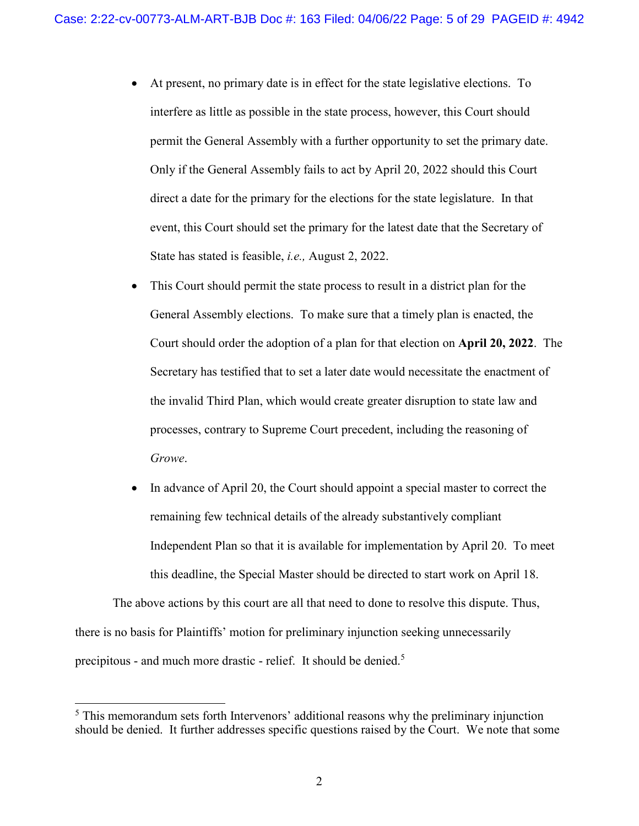- At present, no primary date is in effect for the state legislative elections. To interfere as little as possible in the state process, however, this Court should permit the General Assembly with a further opportunity to set the primary date. Only if the General Assembly fails to act by April 20, 2022 should this Court direct a date for the primary for the elections for the state legislature. In that event, this Court should set the primary for the latest date that the Secretary of State has stated is feasible, *i.e.,* August 2, 2022.
- This Court should permit the state process to result in a district plan for the General Assembly elections. To make sure that a timely plan is enacted, the Court should order the adoption of a plan for that election on **April 20, 2022**. The Secretary has testified that to set a later date would necessitate the enactment of the invalid Third Plan, which would create greater disruption to state law and processes, contrary to Supreme Court precedent, including the reasoning of *Growe*.
- In advance of April 20, the Court should appoint a special master to correct the remaining few technical details of the already substantively compliant Independent Plan so that it is available for implementation by April 20. To meet this deadline, the Special Master should be directed to start work on April 18.

The above actions by this court are all that need to done to resolve this dispute. Thus, there is no basis for Plaintiffs' motion for preliminary injunction seeking unnecessarily precipitous - and much more drastic - relief. It should be denied.<sup>5</sup>

<sup>&</sup>lt;sup>5</sup> This memorandum sets forth Intervenors' additional reasons why the preliminary injunction should be denied. It further addresses specific questions raised by the Court. We note that some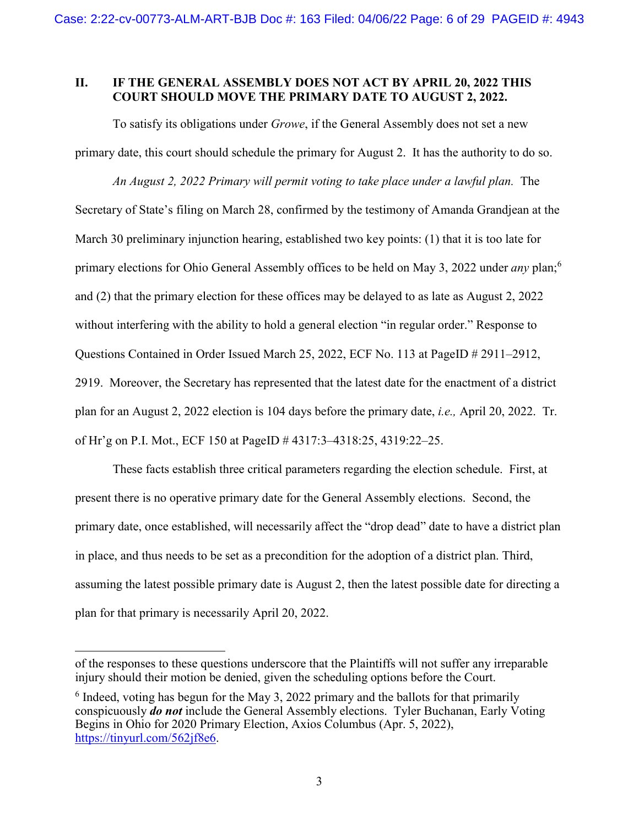### <span id="page-5-0"></span>**II. IF THE GENERAL ASSEMBLY DOES NOT ACT BY APRIL 20, 2022 THIS COURT SHOULD MOVE THE PRIMARY DATE TO AUGUST 2, 2022.**

To satisfy its obligations under *Growe*, if the General Assembly does not set a new primary date, this court should schedule the primary for August 2. It has the authority to do so.

*An August 2, 2022 Primary will permit voting to take place under a lawful plan.* The Secretary of State's filing on March 28, confirmed by the testimony of Amanda Grandjean at the March 30 preliminary injunction hearing, established two key points: (1) that it is too late for primary elections for Ohio General Assembly offices to be held on May 3, 2022 under *any* plan;<sup>6</sup> and (2) that the primary election for these offices may be delayed to as late as August 2, 2022 without interfering with the ability to hold a general election "in regular order." Response to Questions Contained in Order Issued March 25, 2022, ECF No. 113 at PageID # 2911–2912, 2919. Moreover, the Secretary has represented that the latest date for the enactment of a district plan for an August 2, 2022 election is 104 days before the primary date, *i.e.,* April 20, 2022. Tr. of Hr'g on P.I. Mot., ECF 150 at PageID # 4317:3–4318:25, 4319:22–25.

These facts establish three critical parameters regarding the election schedule. First, at present there is no operative primary date for the General Assembly elections. Second, the primary date, once established, will necessarily affect the "drop dead" date to have a district plan in place, and thus needs to be set as a precondition for the adoption of a district plan. Third, assuming the latest possible primary date is August 2, then the latest possible date for directing a plan for that primary is necessarily April 20, 2022.

of the responses to these questions underscore that the Plaintiffs will not suffer any irreparable injury should their motion be denied, given the scheduling options before the Court.

 $6$  Indeed, voting has begun for the May 3, 2022 primary and the ballots for that primarily conspicuously *do not* include the General Assembly elections. Tyler Buchanan, Early Voting Begins in Ohio for 2020 Primary Election, Axios Columbus (Apr. 5, 2022), [https://tinyurl.com/562jf8e6.](https://tinyurl.com/562jf8e6)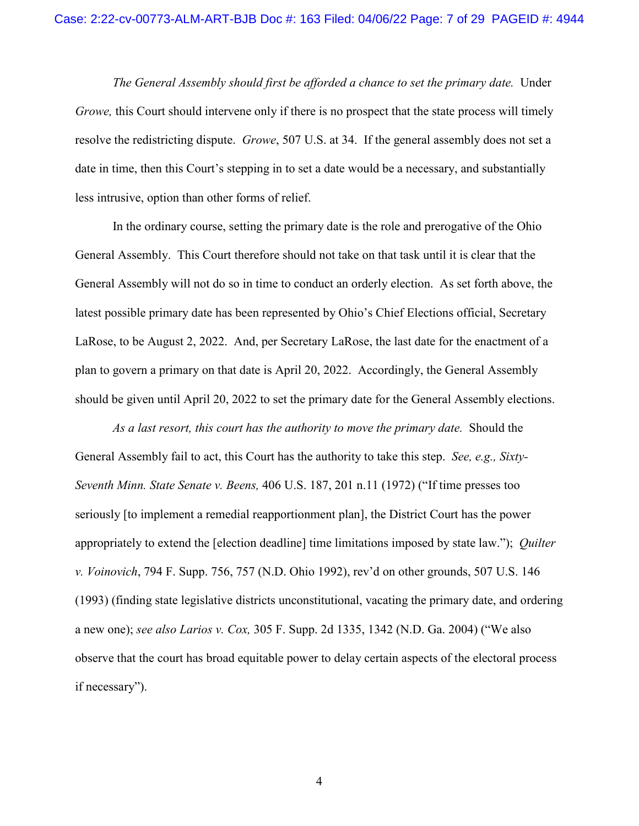*The General Assembly should first be afforded a chance to set the primary date.* Under *Growe,* this Court should intervene only if there is no prospect that the state process will timely resolve the redistricting dispute. *Growe*, 507 U.S. at 34. If the general assembly does not set a date in time, then this Court's stepping in to set a date would be a necessary, and substantially less intrusive, option than other forms of relief.

In the ordinary course, setting the primary date is the role and prerogative of the Ohio General Assembly. This Court therefore should not take on that task until it is clear that the General Assembly will not do so in time to conduct an orderly election. As set forth above, the latest possible primary date has been represented by Ohio's Chief Elections official, Secretary LaRose, to be August 2, 2022. And, per Secretary LaRose, the last date for the enactment of a plan to govern a primary on that date is April 20, 2022. Accordingly, the General Assembly should be given until April 20, 2022 to set the primary date for the General Assembly elections.

*As a last resort, this court has the authority to move the primary date.* Should the General Assembly fail to act, this Court has the authority to take this step. *See, e.g., Sixty-Seventh Minn. State Senate v. Beens,* 406 U.S. 187, 201 n.11 (1972) ("If time presses too seriously [to implement a remedial reapportionment plan], the District Court has the power appropriately to extend the [election deadline] time limitations imposed by state law."); *Quilter v. Voinovich*, 794 F. Supp. 756, 757 (N.D. Ohio 1992), rev'd on other grounds, 507 U.S. 146 (1993) (finding state legislative districts unconstitutional, vacating the primary date, and ordering a new one); *see also Larios v. Cox,* 305 F. Supp. 2d 1335, 1342 (N.D. Ga. 2004) ("We also observe that the court has broad equitable power to delay certain aspects of the electoral process if necessary").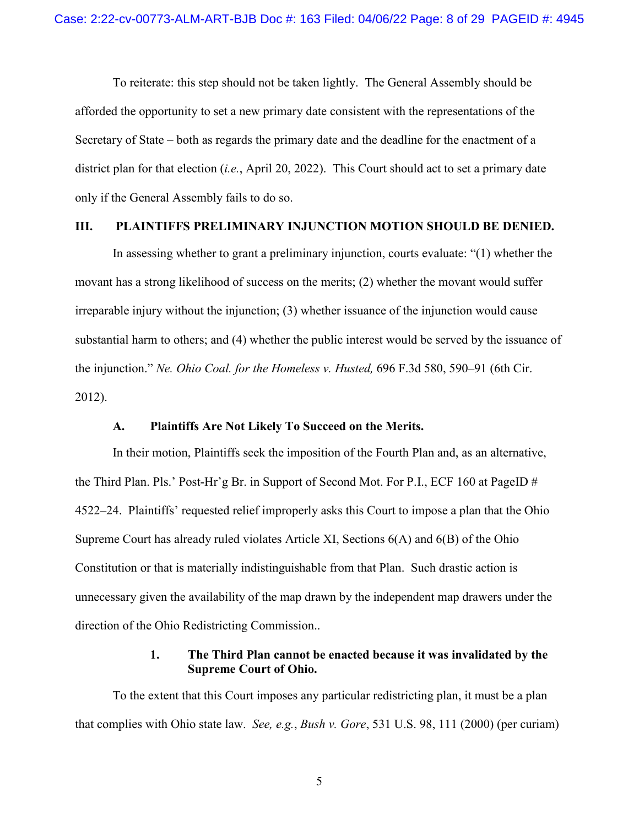To reiterate: this step should not be taken lightly. The General Assembly should be afforded the opportunity to set a new primary date consistent with the representations of the Secretary of State – both as regards the primary date and the deadline for the enactment of a district plan for that election (*i.e.*, April 20, 2022). This Court should act to set a primary date only if the General Assembly fails to do so.

### <span id="page-7-0"></span>**III. PLAINTIFFS PRELIMINARY INJUNCTION MOTION SHOULD BE DENIED.**

In assessing whether to grant a preliminary injunction, courts evaluate: "(1) whether the movant has a strong likelihood of success on the merits; (2) whether the movant would suffer irreparable injury without the injunction; (3) whether issuance of the injunction would cause substantial harm to others; and (4) whether the public interest would be served by the issuance of the injunction." *Ne. Ohio Coal. for the Homeless v. Husted,* 696 F.3d 580, 590–91 (6th Cir. 2012).

### **A. Plaintiffs Are Not Likely To Succeed on the Merits.**

<span id="page-7-1"></span>In their motion, Plaintiffs seek the imposition of the Fourth Plan and, as an alternative, the Third Plan. Pls.' Post-Hr'g Br. in Support of Second Mot. For P.I., ECF 160 at PageID # 4522–24. Plaintiffs' requested relief improperly asks this Court to impose a plan that the Ohio Supreme Court has already ruled violates Article XI, Sections 6(A) and 6(B) of the Ohio Constitution or that is materially indistinguishable from that Plan. Such drastic action is unnecessary given the availability of the map drawn by the independent map drawers under the direction of the Ohio Redistricting Commission..

### **1. The Third Plan cannot be enacted because it was invalidated by the Supreme Court of Ohio.**

<span id="page-7-2"></span>To the extent that this Court imposes any particular redistricting plan, it must be a plan that complies with Ohio state law. *See, e.g.*, *Bush v. Gore*, 531 U.S. 98, 111 (2000) (per curiam)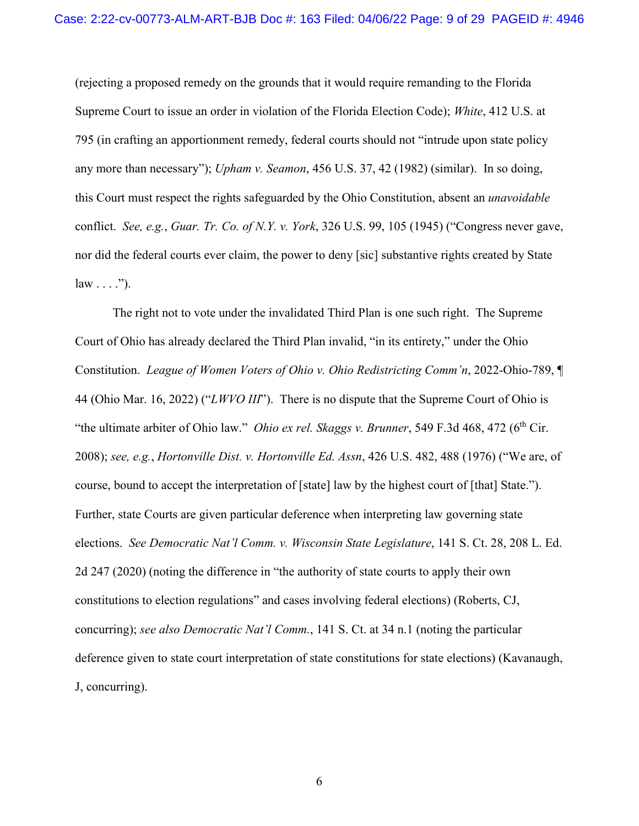(rejecting a proposed remedy on the grounds that it would require remanding to the Florida Supreme Court to issue an order in violation of the Florida Election Code); *White*, 412 U.S. at 795 (in crafting an apportionment remedy, federal courts should not "intrude upon state policy any more than necessary"); *Upham v. Seamon*, 456 U.S. 37, 42 (1982) (similar). In so doing, this Court must respect the rights safeguarded by the Ohio Constitution, absent an *unavoidable* conflict. *See, e.g.*, *Guar. Tr. Co. of N.Y. v. York*, 326 U.S. 99, 105 (1945) ("Congress never gave, nor did the federal courts ever claim, the power to deny [sic] substantive rights created by State  $law \dots$ ").

The right not to vote under the invalidated Third Plan is one such right. The Supreme Court of Ohio has already declared the Third Plan invalid, "in its entirety," under the Ohio Constitution. *League of Women Voters of Ohio v. Ohio Redistricting Comm'n*, 2022-Ohio-789, ¶ 44 (Ohio Mar. 16, 2022) ("*LWVO III*"). There is no dispute that the Supreme Court of Ohio is "the ultimate arbiter of Ohio law." *Ohio ex rel. Skaggs v. Brunner*, 549 F.3d 468, 472 (6<sup>th</sup> Cir. 2008); *see, e.g.*, *Hortonville Dist. v. Hortonville Ed. Assn*, 426 U.S. 482, 488 (1976) ("We are, of course, bound to accept the interpretation of [state] law by the highest court of [that] State."). Further, state Courts are given particular deference when interpreting law governing state elections. *See Democratic Nat'l Comm. v. Wisconsin State Legislature*, 141 S. Ct. 28, 208 L. Ed. 2d 247 (2020) (noting the difference in "the authority of state courts to apply their own constitutions to election regulations" and cases involving federal elections) (Roberts, CJ, concurring); *see also Democratic Nat'l Comm.*, 141 S. Ct. at 34 n.1 (noting the particular deference given to state court interpretation of state constitutions for state elections) (Kavanaugh, J, concurring).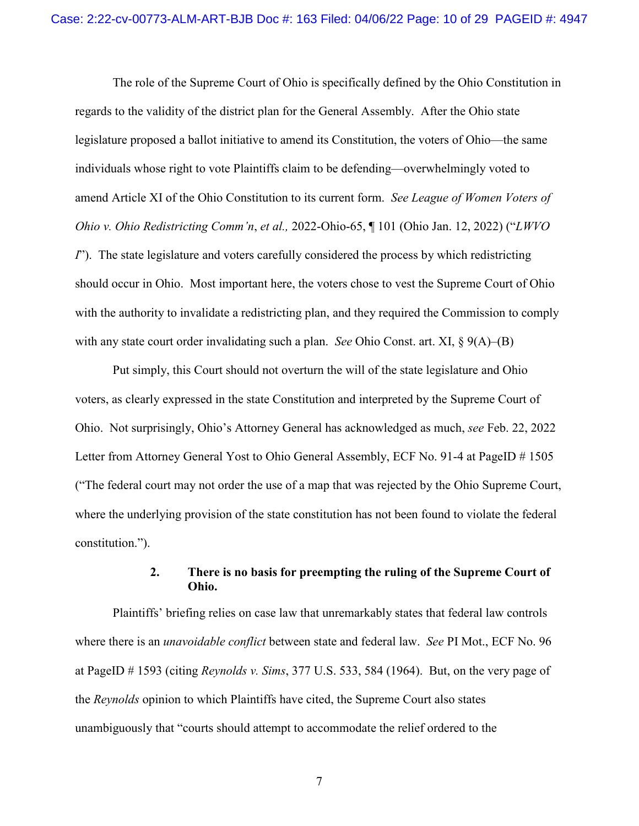The role of the Supreme Court of Ohio is specifically defined by the Ohio Constitution in regards to the validity of the district plan for the General Assembly. After the Ohio state legislature proposed a ballot initiative to amend its Constitution, the voters of Ohio—the same individuals whose right to vote Plaintiffs claim to be defending—overwhelmingly voted to amend Article XI of the Ohio Constitution to its current form. *See League of Women Voters of Ohio v. Ohio Redistricting Comm'n*, *et al.,* 2022-Ohio-65, ¶ 101 (Ohio Jan. 12, 2022) ("*LWVO I*"). The state legislature and voters carefully considered the process by which redistricting should occur in Ohio. Most important here, the voters chose to vest the Supreme Court of Ohio with the authority to invalidate a redistricting plan, and they required the Commission to comply with any state court order invalidating such a plan. *See* Ohio Const. art. XI, § 9(A)–(B)

Put simply, this Court should not overturn the will of the state legislature and Ohio voters, as clearly expressed in the state Constitution and interpreted by the Supreme Court of Ohio. Not surprisingly, Ohio's Attorney General has acknowledged as much, *see* Feb. 22, 2022 Letter from Attorney General Yost to Ohio General Assembly, ECF No. 91-4 at PageID # 1505 ("The federal court may not order the use of a map that was rejected by the Ohio Supreme Court, where the underlying provision of the state constitution has not been found to violate the federal constitution.").

### **2. There is no basis for preempting the ruling of the Supreme Court of Ohio.**

<span id="page-9-0"></span>Plaintiffs' briefing relies on case law that unremarkably states that federal law controls where there is an *unavoidable conflict* between state and federal law. *See* PI Mot., ECF No. 96 at PageID # 1593 (citing *Reynolds v. Sims*, 377 U.S. 533, 584 (1964). But, on the very page of the *Reynolds* opinion to which Plaintiffs have cited, the Supreme Court also states unambiguously that "courts should attempt to accommodate the relief ordered to the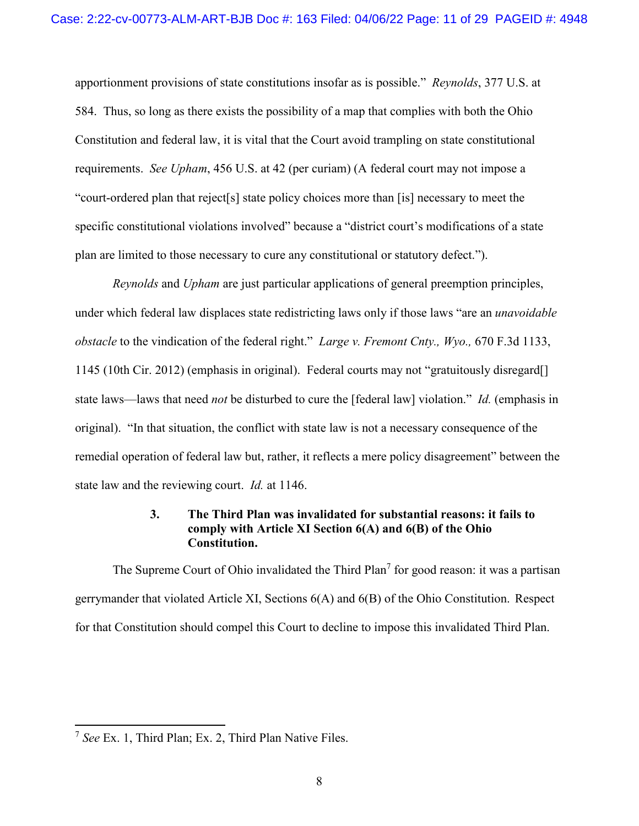apportionment provisions of state constitutions insofar as is possible." *Reynolds*, 377 U.S. at 584. Thus, so long as there exists the possibility of a map that complies with both the Ohio Constitution and federal law, it is vital that the Court avoid trampling on state constitutional requirements. *See Upham*, 456 U.S. at 42 (per curiam) (A federal court may not impose a "court-ordered plan that reject[s] state policy choices more than [is] necessary to meet the specific constitutional violations involved" because a "district court's modifications of a state plan are limited to those necessary to cure any constitutional or statutory defect.").

*Reynolds* and *Upham* are just particular applications of general preemption principles, under which federal law displaces state redistricting laws only if those laws "are an *unavoidable obstacle* to the vindication of the federal right." *Large v. Fremont Cnty., Wyo.,* 670 F.3d 1133, 1145 (10th Cir. 2012) (emphasis in original). Federal courts may not "gratuitously disregard[] state laws—laws that need *not* be disturbed to cure the [federal law] violation." *Id.* (emphasis in original). "In that situation, the conflict with state law is not a necessary consequence of the remedial operation of federal law but, rather, it reflects a mere policy disagreement" between the state law and the reviewing court. *Id.* at 1146.

# **3. The Third Plan was invalidated for substantial reasons: it fails to comply with Article XI Section 6(A) and 6(B) of the Ohio Constitution.**

<span id="page-10-0"></span>The Supreme Court of Ohio invalidated the Third Plan<sup>7</sup> for good reason: it was a partisan gerrymander that violated Article XI, Sections 6(A) and 6(B) of the Ohio Constitution. Respect for that Constitution should compel this Court to decline to impose this invalidated Third Plan.

 7 *See* Ex. 1, Third Plan; Ex. 2, Third Plan Native Files.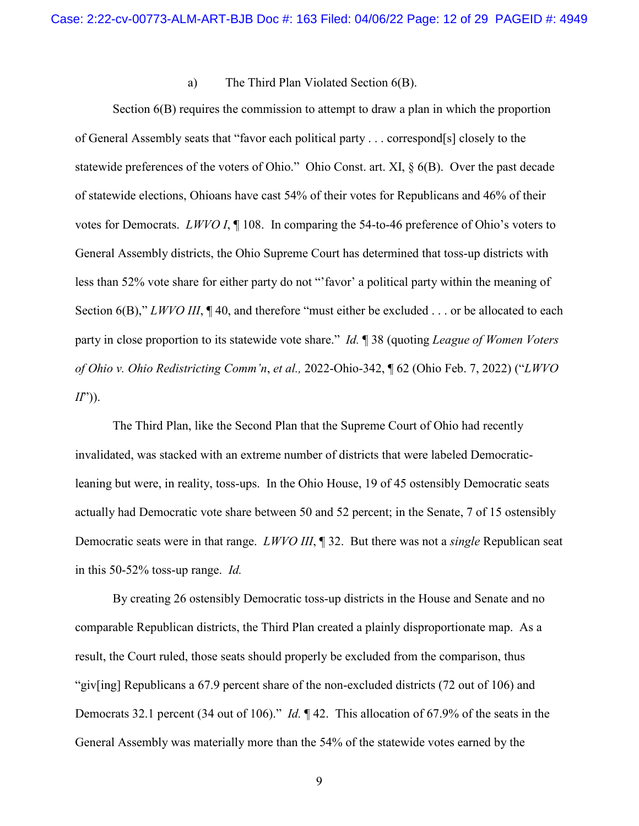### a) The Third Plan Violated Section 6(B).

<span id="page-11-0"></span>Section 6(B) requires the commission to attempt to draw a plan in which the proportion of General Assembly seats that "favor each political party . . . correspond[s] closely to the statewide preferences of the voters of Ohio." Ohio Const. art. XI, § 6(B). Over the past decade of statewide elections, Ohioans have cast 54% of their votes for Republicans and 46% of their votes for Democrats. *LWVO I*, ¶ 108. In comparing the 54-to-46 preference of Ohio's voters to General Assembly districts, the Ohio Supreme Court has determined that toss-up districts with less than 52% vote share for either party do not "'favor' a political party within the meaning of Section 6(B)," *LWVO III*, ¶ 40, and therefore "must either be excluded . . . or be allocated to each party in close proportion to its statewide vote share." *Id.* ¶ 38 (quoting *League of Women Voters of Ohio v. Ohio Redistricting Comm'n*, *et al.,* 2022-Ohio-342, ¶ 62 (Ohio Feb. 7, 2022) ("*LWVO II*")).

The Third Plan, like the Second Plan that the Supreme Court of Ohio had recently invalidated, was stacked with an extreme number of districts that were labeled Democraticleaning but were, in reality, toss-ups. In the Ohio House, 19 of 45 ostensibly Democratic seats actually had Democratic vote share between 50 and 52 percent; in the Senate, 7 of 15 ostensibly Democratic seats were in that range. *LWVO III*, ¶ 32. But there was not a *single* Republican seat in this 50-52% toss-up range. *Id.* 

By creating 26 ostensibly Democratic toss-up districts in the House and Senate and no comparable Republican districts, the Third Plan created a plainly disproportionate map. As a result, the Court ruled, those seats should properly be excluded from the comparison, thus "giv[ing] Republicans a 67.9 percent share of the non-excluded districts (72 out of 106) and Democrats 32.1 percent (34 out of 106)." *Id.* ¶ 42. This allocation of 67.9% of the seats in the General Assembly was materially more than the 54% of the statewide votes earned by the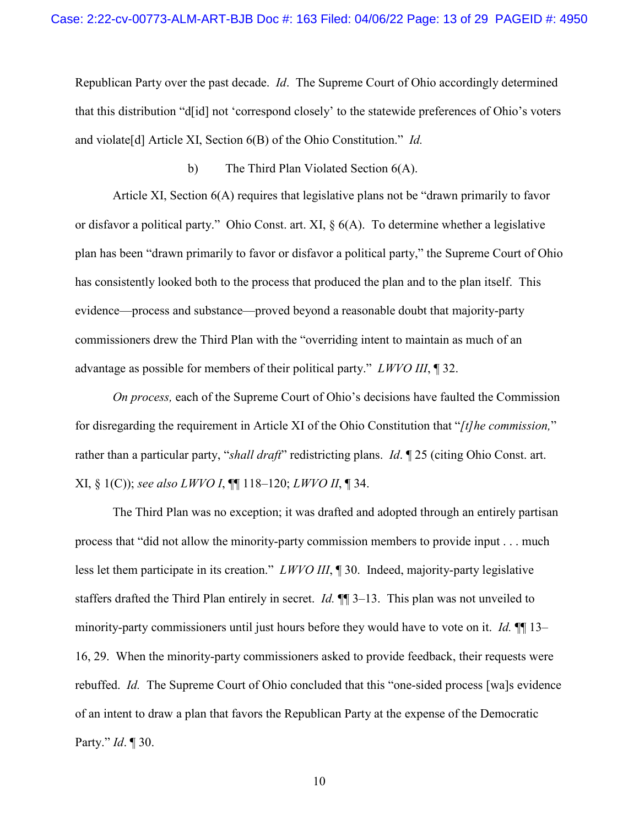Republican Party over the past decade. *Id*. The Supreme Court of Ohio accordingly determined that this distribution "d[id] not 'correspond closely' to the statewide preferences of Ohio's voters and violate[d] Article XI, Section 6(B) of the Ohio Constitution." *Id.*

b) The Third Plan Violated Section 6(A).

<span id="page-12-0"></span>Article XI, Section 6(A) requires that legislative plans not be "drawn primarily to favor or disfavor a political party." Ohio Const. art. XI, § 6(A). To determine whether a legislative plan has been "drawn primarily to favor or disfavor a political party," the Supreme Court of Ohio has consistently looked both to the process that produced the plan and to the plan itself. This evidence—process and substance—proved beyond a reasonable doubt that majority-party commissioners drew the Third Plan with the "overriding intent to maintain as much of an advantage as possible for members of their political party." *LWVO III*, ¶ 32.

*On process,* each of the Supreme Court of Ohio's decisions have faulted the Commission for disregarding the requirement in Article XI of the Ohio Constitution that "*[t]he commission,*" rather than a particular party, "*shall draft*" redistricting plans. *Id*. ¶ 25 (citing Ohio Const. art. XI, § 1(C)); *see also LWVO I*, ¶¶ 118–120; *LWVO II*, ¶ 34.

The Third Plan was no exception; it was drafted and adopted through an entirely partisan process that "did not allow the minority-party commission members to provide input . . . much less let them participate in its creation." *LWVO III*, ¶ 30. Indeed, majority-party legislative staffers drafted the Third Plan entirely in secret. *Id.* ¶¶ 3–13. This plan was not unveiled to minority-party commissioners until just hours before they would have to vote on it. *Id.* ¶¶ 13– 16, 29. When the minority-party commissioners asked to provide feedback, their requests were rebuffed. *Id.* The Supreme Court of Ohio concluded that this "one-sided process [wa]s evidence of an intent to draw a plan that favors the Republican Party at the expense of the Democratic Party." *Id*. ¶ 30.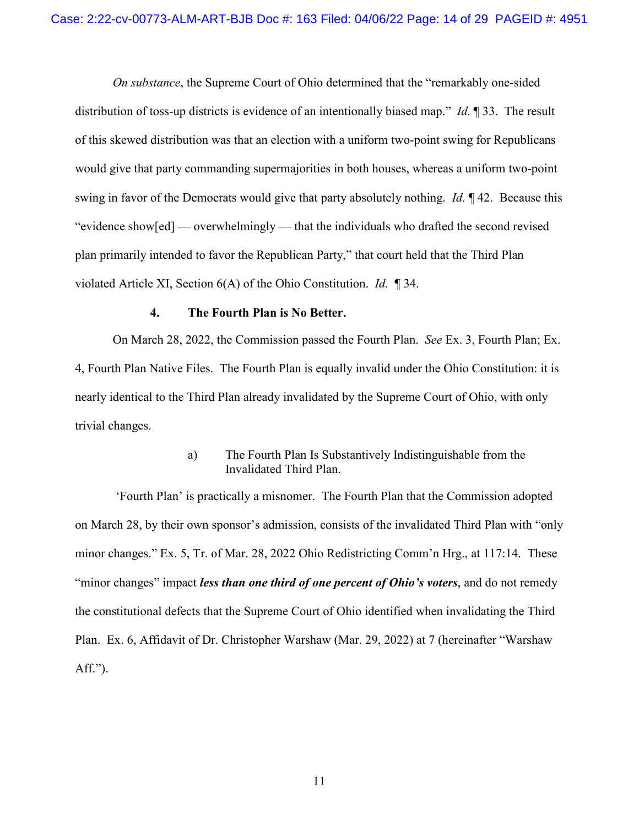*On substance*, the Supreme Court of Ohio determined that the "remarkably one-sided distribution of toss-up districts is evidence of an intentionally biased map." *Id.* ¶ 33. The result of this skewed distribution was that an election with a uniform two-point swing for Republicans would give that party commanding supermajorities in both houses, whereas a uniform two-point swing in favor of the Democrats would give that party absolutely nothing. *Id.* ¶ 42. Because this "evidence show[ed] — overwhelmingly — that the individuals who drafted the second revised plan primarily intended to favor the Republican Party," that court held that the Third Plan violated Article XI, Section 6(A) of the Ohio Constitution. *Id.* ¶ 34.

#### **4. The Fourth Plan is No Better.**

<span id="page-13-0"></span>On March 28, 2022, the Commission passed the Fourth Plan. *See* Ex. 3, Fourth Plan; Ex. 4, Fourth Plan Native Files. The Fourth Plan is equally invalid under the Ohio Constitution: it is nearly identical to the Third Plan already invalidated by the Supreme Court of Ohio, with only trivial changes.

# a) The Fourth Plan Is Substantively Indistinguishable from the Invalidated Third Plan.

<span id="page-13-1"></span> 'Fourth Plan' is practically a misnomer. The Fourth Plan that the Commission adopted on March 28, by their own sponsor's admission, consists of the invalidated Third Plan with "only minor changes." Ex. 5, Tr. of Mar. 28, 2022 Ohio Redistricting Comm'n Hrg., at 117:14. These "minor changes" impact *less than one third of one percent of Ohio's voters*, and do not remedy the constitutional defects that the Supreme Court of Ohio identified when invalidating the Third Plan. Ex. 6, Affidavit of Dr. Christopher Warshaw (Mar. 29, 2022) at 7 (hereinafter "Warshaw Aff.").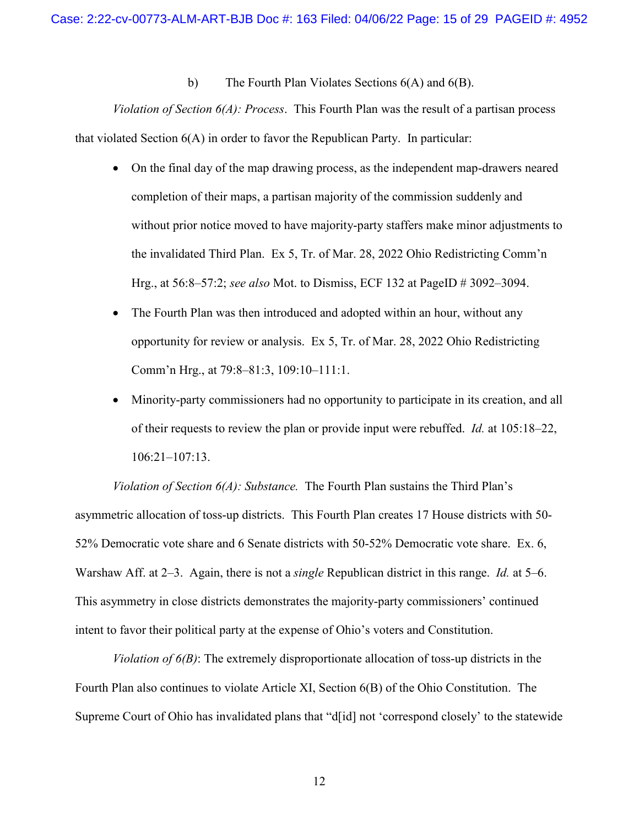b) The Fourth Plan Violates Sections 6(A) and 6(B).

<span id="page-14-0"></span>*Violation of Section 6(A): Process*. This Fourth Plan was the result of a partisan process that violated Section 6(A) in order to favor the Republican Party. In particular:

- On the final day of the map drawing process, as the independent map-drawers neared completion of their maps, a partisan majority of the commission suddenly and without prior notice moved to have majority-party staffers make minor adjustments to the invalidated Third Plan. Ex 5, Tr. of Mar. 28, 2022 Ohio Redistricting Comm'n Hrg., at 56:8–57:2; *see also* Mot. to Dismiss, ECF 132 at PageID # 3092–3094.
- The Fourth Plan was then introduced and adopted within an hour, without any opportunity for review or analysis. Ex 5, Tr. of Mar. 28, 2022 Ohio Redistricting Comm'n Hrg., at 79:8–81:3, 109:10–111:1.
- Minority-party commissioners had no opportunity to participate in its creation, and all of their requests to review the plan or provide input were rebuffed. *Id.* at 105:18–22, 106:21–107:13.

*Violation of Section 6(A): Substance.* The Fourth Plan sustains the Third Plan's asymmetric allocation of toss-up districts. This Fourth Plan creates 17 House districts with 50- 52% Democratic vote share and 6 Senate districts with 50-52% Democratic vote share. Ex. 6, Warshaw Aff. at 2–3. Again, there is not a *single* Republican district in this range. *Id.* at 5–6. This asymmetry in close districts demonstrates the majority-party commissioners' continued intent to favor their political party at the expense of Ohio's voters and Constitution.

*Violation of 6(B)*: The extremely disproportionate allocation of toss-up districts in the Fourth Plan also continues to violate Article XI, Section 6(B) of the Ohio Constitution. The Supreme Court of Ohio has invalidated plans that "d[id] not 'correspond closely' to the statewide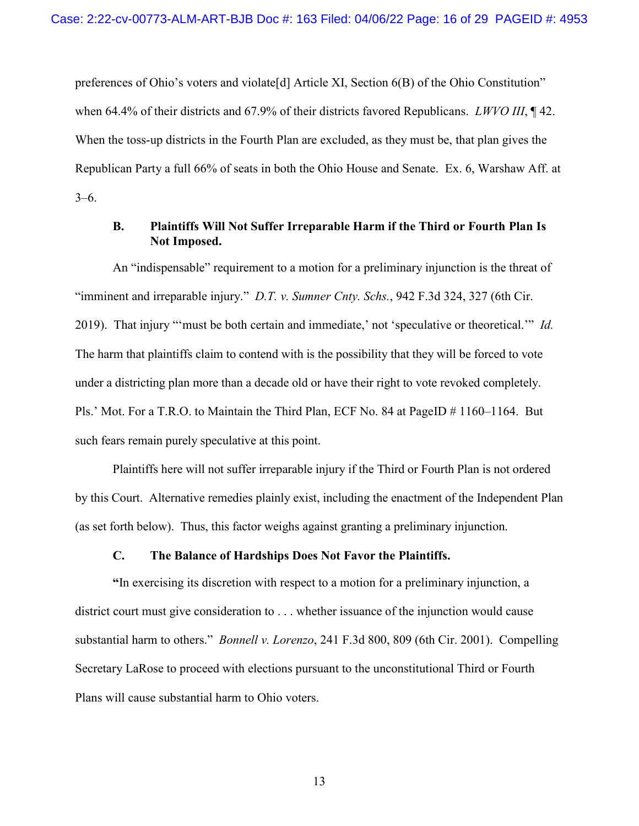preferences of Ohio's voters and violate[d] Article XI, Section 6(B) of the Ohio Constitution" when 64.4% of their districts and 67.9% of their districts favored Republicans. *LWVO III*, ¶ 42. When the toss-up districts in the Fourth Plan are excluded, as they must be, that plan gives the Republican Party a full 66% of seats in both the Ohio House and Senate. Ex. 6, Warshaw Aff. at 3–6.

# <span id="page-15-0"></span>**B. Plaintiffs Will Not Suffer Irreparable Harm if the Third or Fourth Plan Is Not Imposed.**

An "indispensable" requirement to a motion for a preliminary injunction is the threat of "imminent and irreparable injury." *D.T. v. Sumner Cnty. Schs.*, 942 F.3d 324, 327 (6th Cir. 2019). That injury "'must be both certain and immediate,' not 'speculative or theoretical.'" *Id.*  The harm that plaintiffs claim to contend with is the possibility that they will be forced to vote under a districting plan more than a decade old or have their right to vote revoked completely. Pls.' Mot. For a T.R.O. to Maintain the Third Plan, ECF No. 84 at PageID # 1160–1164. But such fears remain purely speculative at this point.

Plaintiffs here will not suffer irreparable injury if the Third or Fourth Plan is not ordered by this Court. Alternative remedies plainly exist, including the enactment of the Independent Plan (as set forth below). Thus, this factor weighs against granting a preliminary injunction.

# **C. The Balance of Hardships Does Not Favor the Plaintiffs.**

<span id="page-15-1"></span>**"**In exercising its discretion with respect to a motion for a preliminary injunction, a district court must give consideration to . . . whether issuance of the injunction would cause substantial harm to others." *Bonnell v. Lorenzo*, 241 F.3d 800, 809 (6th Cir. 2001). Compelling Secretary LaRose to proceed with elections pursuant to the unconstitutional Third or Fourth Plans will cause substantial harm to Ohio voters.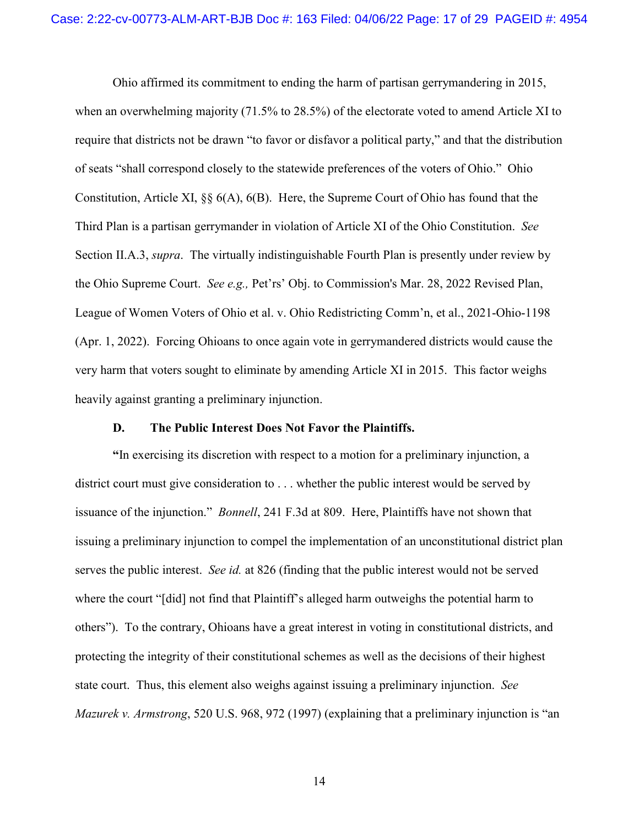Ohio affirmed its commitment to ending the harm of partisan gerrymandering in 2015, when an overwhelming majority (71.5% to 28.5%) of the electorate voted to amend Article XI to require that districts not be drawn "to favor or disfavor a political party," and that the distribution of seats "shall correspond closely to the statewide preferences of the voters of Ohio." Ohio Constitution, Article XI, §§ 6(A), 6(B). Here, the Supreme Court of Ohio has found that the Third Plan is a partisan gerrymander in violation of Article XI of the Ohio Constitution. *See*  Section II.A.3, *supra*. The virtually indistinguishable Fourth Plan is presently under review by the Ohio Supreme Court. *See e.g.,* Pet'rs' Obj. to Commission's Mar. 28, 2022 Revised Plan, League of Women Voters of Ohio et al. v. Ohio Redistricting Comm'n, et al., 2021-Ohio-1198 (Apr. 1, 2022). Forcing Ohioans to once again vote in gerrymandered districts would cause the very harm that voters sought to eliminate by amending Article XI in 2015. This factor weighs heavily against granting a preliminary injunction.

#### **D. The Public Interest Does Not Favor the Plaintiffs.**

<span id="page-16-0"></span>**"**In exercising its discretion with respect to a motion for a preliminary injunction, a district court must give consideration to . . . whether the public interest would be served by issuance of the injunction." *Bonnell*, 241 F.3d at 809. Here, Plaintiffs have not shown that issuing a preliminary injunction to compel the implementation of an unconstitutional district plan serves the public interest. *See id.* at 826 (finding that the public interest would not be served where the court "[did] not find that Plaintiff's alleged harm outweighs the potential harm to others"). To the contrary, Ohioans have a great interest in voting in constitutional districts, and protecting the integrity of their constitutional schemes as well as the decisions of their highest state court. Thus, this element also weighs against issuing a preliminary injunction. *See Mazurek v. Armstrong*, 520 U.S. 968, 972 (1997) (explaining that a preliminary injunction is "an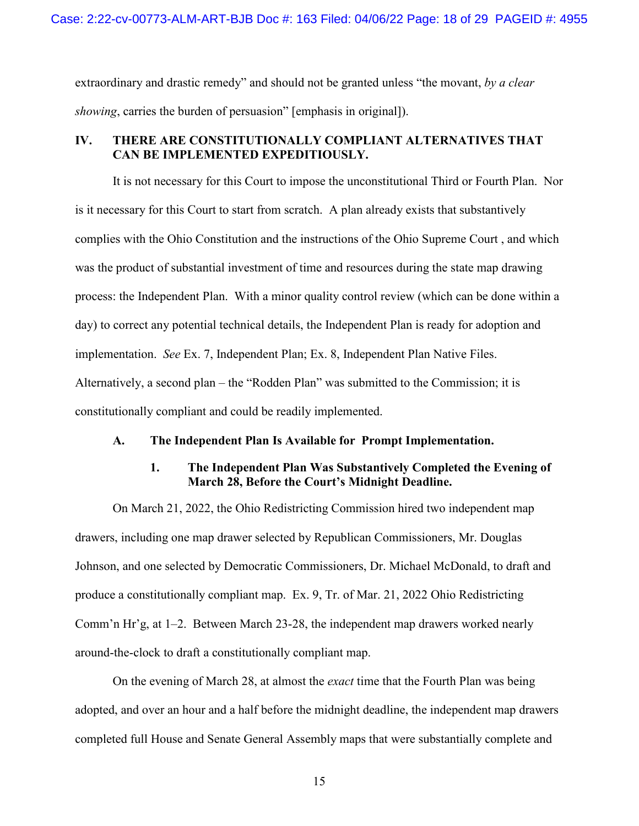extraordinary and drastic remedy" and should not be granted unless "the movant, *by a clear showing*, carries the burden of persuasion" [emphasis in original]).

# <span id="page-17-0"></span>**IV. THERE ARE CONSTITUTIONALLY COMPLIANT ALTERNATIVES THAT CAN BE IMPLEMENTED EXPEDITIOUSLY.**

It is not necessary for this Court to impose the unconstitutional Third or Fourth Plan. Nor is it necessary for this Court to start from scratch. A plan already exists that substantively complies with the Ohio Constitution and the instructions of the Ohio Supreme Court , and which was the product of substantial investment of time and resources during the state map drawing process: the Independent Plan. With a minor quality control review (which can be done within a day) to correct any potential technical details, the Independent Plan is ready for adoption and implementation. *See* Ex. 7, Independent Plan; Ex. 8, Independent Plan Native Files. Alternatively, a second plan – the "Rodden Plan" was submitted to the Commission; it is constitutionally compliant and could be readily implemented.

#### <span id="page-17-1"></span>**A. The Independent Plan Is Available for Prompt Implementation.**

# **1. The Independent Plan Was Substantively Completed the Evening of March 28, Before the Court's Midnight Deadline.**

<span id="page-17-2"></span>On March 21, 2022, the Ohio Redistricting Commission hired two independent map drawers, including one map drawer selected by Republican Commissioners, Mr. Douglas Johnson, and one selected by Democratic Commissioners, Dr. Michael McDonald, to draft and produce a constitutionally compliant map. Ex. 9, Tr. of Mar. 21, 2022 Ohio Redistricting Comm'n Hr'g, at 1–2. Between March 23-28, the independent map drawers worked nearly around-the-clock to draft a constitutionally compliant map.

On the evening of March 28, at almost the *exact* time that the Fourth Plan was being adopted, and over an hour and a half before the midnight deadline, the independent map drawers completed full House and Senate General Assembly maps that were substantially complete and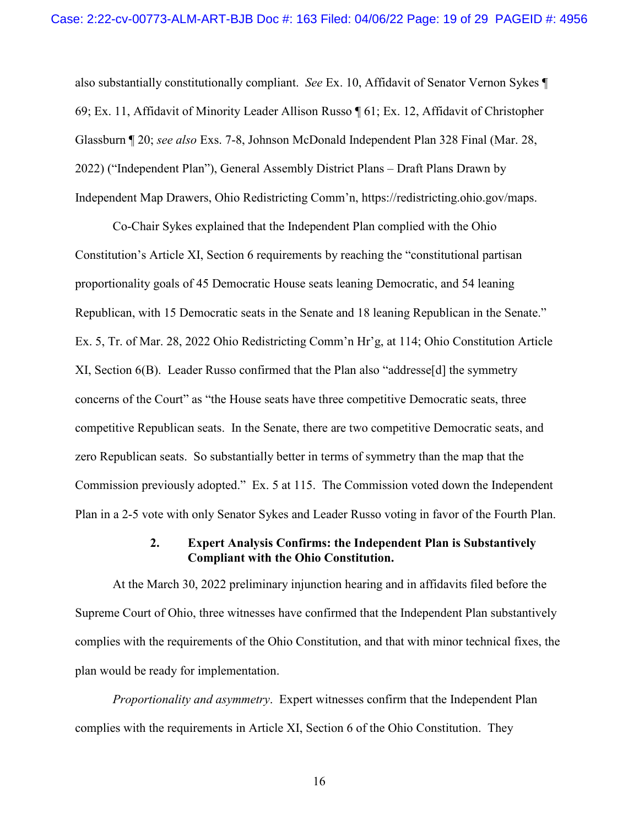also substantially constitutionally compliant. *See* Ex. 10, Affidavit of Senator Vernon Sykes ¶ 69; Ex. 11, Affidavit of Minority Leader Allison Russo ¶ 61; Ex. 12, Affidavit of Christopher Glassburn ¶ 20; *see also* Exs. 7-8, Johnson McDonald Independent Plan 328 Final (Mar. 28, 2022) ("Independent Plan"), General Assembly District Plans – Draft Plans Drawn by Independent Map Drawers, Ohio Redistricting Comm'n, https://redistricting.ohio.gov/maps.

Co-Chair Sykes explained that the Independent Plan complied with the Ohio Constitution's Article XI, Section 6 requirements by reaching the "constitutional partisan proportionality goals of 45 Democratic House seats leaning Democratic, and 54 leaning Republican, with 15 Democratic seats in the Senate and 18 leaning Republican in the Senate." Ex. 5, Tr. of Mar. 28, 2022 Ohio Redistricting Comm'n Hr'g, at 114; Ohio Constitution Article XI, Section 6(B). Leader Russo confirmed that the Plan also "addresse[d] the symmetry concerns of the Court" as "the House seats have three competitive Democratic seats, three competitive Republican seats. In the Senate, there are two competitive Democratic seats, and zero Republican seats. So substantially better in terms of symmetry than the map that the Commission previously adopted." Ex. 5 at 115. The Commission voted down the Independent Plan in a 2-5 vote with only Senator Sykes and Leader Russo voting in favor of the Fourth Plan.

### **2. Expert Analysis Confirms: the Independent Plan is Substantively Compliant with the Ohio Constitution.**

<span id="page-18-0"></span>At the March 30, 2022 preliminary injunction hearing and in affidavits filed before the Supreme Court of Ohio, three witnesses have confirmed that the Independent Plan substantively complies with the requirements of the Ohio Constitution, and that with minor technical fixes, the plan would be ready for implementation.

*Proportionality and asymmetry*. Expert witnesses confirm that the Independent Plan complies with the requirements in Article XI, Section 6 of the Ohio Constitution. They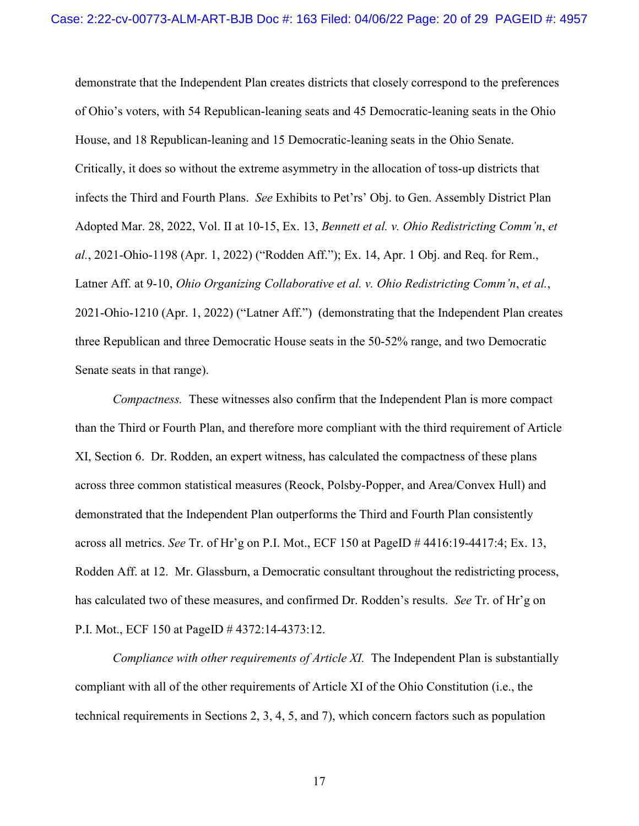demonstrate that the Independent Plan creates districts that closely correspond to the preferences of Ohio's voters, with 54 Republican-leaning seats and 45 Democratic-leaning seats in the Ohio House, and 18 Republican-leaning and 15 Democratic-leaning seats in the Ohio Senate. Critically, it does so without the extreme asymmetry in the allocation of toss-up districts that infects the Third and Fourth Plans. *See* Exhibits to Pet'rs' Obj. to Gen. Assembly District Plan Adopted Mar. 28, 2022, Vol. II at 10-15, Ex. 13, *Bennett et al. v. Ohio Redistricting Comm'n*, *et al.*, 2021-Ohio-1198 (Apr. 1, 2022) ("Rodden Aff."); Ex. 14, Apr. 1 Obj. and Req. for Rem., Latner Aff. at 9-10, *Ohio Organizing Collaborative et al. v. Ohio Redistricting Comm'n*, *et al.*, 2021-Ohio-1210 (Apr. 1, 2022) ("Latner Aff.") (demonstrating that the Independent Plan creates three Republican and three Democratic House seats in the 50-52% range, and two Democratic Senate seats in that range).

*Compactness.* These witnesses also confirm that the Independent Plan is more compact than the Third or Fourth Plan, and therefore more compliant with the third requirement of Article XI, Section 6. Dr. Rodden, an expert witness, has calculated the compactness of these plans across three common statistical measures (Reock, Polsby-Popper, and Area/Convex Hull) and demonstrated that the Independent Plan outperforms the Third and Fourth Plan consistently across all metrics. *See* Tr. of Hr'g on P.I. Mot., ECF 150 at PageID # 4416:19-4417:4; Ex. 13, Rodden Aff. at 12. Mr. Glassburn, a Democratic consultant throughout the redistricting process, has calculated two of these measures, and confirmed Dr. Rodden's results. *See* Tr. of Hr'g on P.I. Mot., ECF 150 at PageID # 4372:14-4373:12.

*Compliance with other requirements of Article XI.* The Independent Plan is substantially compliant with all of the other requirements of Article XI of the Ohio Constitution (i.e., the technical requirements in Sections 2, 3, 4, 5, and 7), which concern factors such as population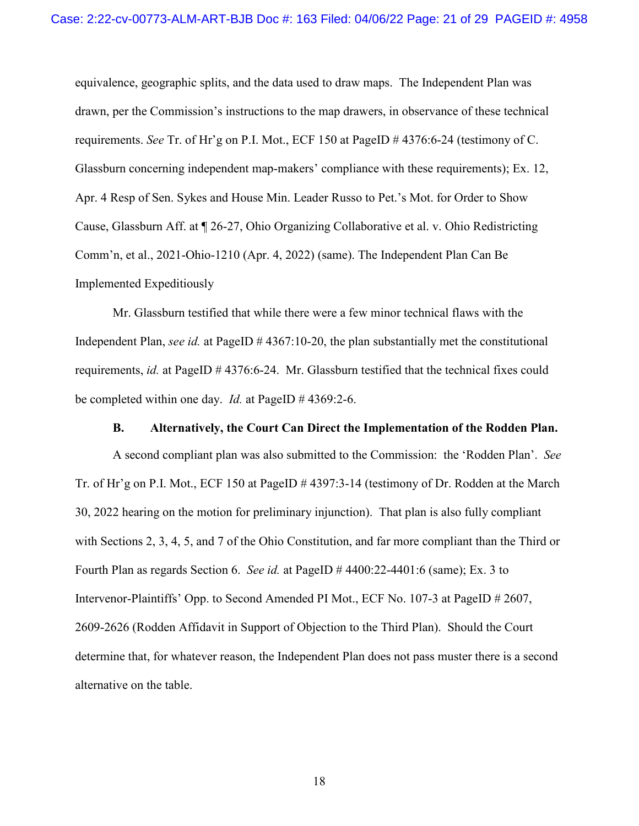equivalence, geographic splits, and the data used to draw maps. The Independent Plan was drawn, per the Commission's instructions to the map drawers, in observance of these technical requirements. *See* Tr. of Hr'g on P.I. Mot., ECF 150 at PageID # 4376:6-24 (testimony of C. Glassburn concerning independent map-makers' compliance with these requirements); Ex. 12, Apr. 4 Resp of Sen. Sykes and House Min. Leader Russo to Pet.'s Mot. for Order to Show Cause, Glassburn Aff. at ¶ 26-27, Ohio Organizing Collaborative et al. v. Ohio Redistricting Comm'n, et al., 2021-Ohio-1210 (Apr. 4, 2022) (same). The Independent Plan Can Be Implemented Expeditiously

Mr. Glassburn testified that while there were a few minor technical flaws with the Independent Plan, *see id.* at PageID # 4367:10-20, the plan substantially met the constitutional requirements, *id.* at PageID # 4376:6-24. Mr. Glassburn testified that the technical fixes could be completed within one day. *Id.* at PageID # 4369:2-6.

#### **B. Alternatively, the Court Can Direct the Implementation of the Rodden Plan.**

<span id="page-20-0"></span>A second compliant plan was also submitted to the Commission: the 'Rodden Plan'. *See*  Tr. of Hr'g on P.I. Mot., ECF 150 at PageID # 4397:3-14 (testimony of Dr. Rodden at the March 30, 2022 hearing on the motion for preliminary injunction). That plan is also fully compliant with Sections 2, 3, 4, 5, and 7 of the Ohio Constitution, and far more compliant than the Third or Fourth Plan as regards Section 6. *See id.* at PageID # 4400:22-4401:6 (same); Ex. 3 to Intervenor-Plaintiffs' Opp. to Second Amended PI Mot., ECF No. 107-3 at PageID # 2607, 2609-2626 (Rodden Affidavit in Support of Objection to the Third Plan). Should the Court determine that, for whatever reason, the Independent Plan does not pass muster there is a second alternative on the table.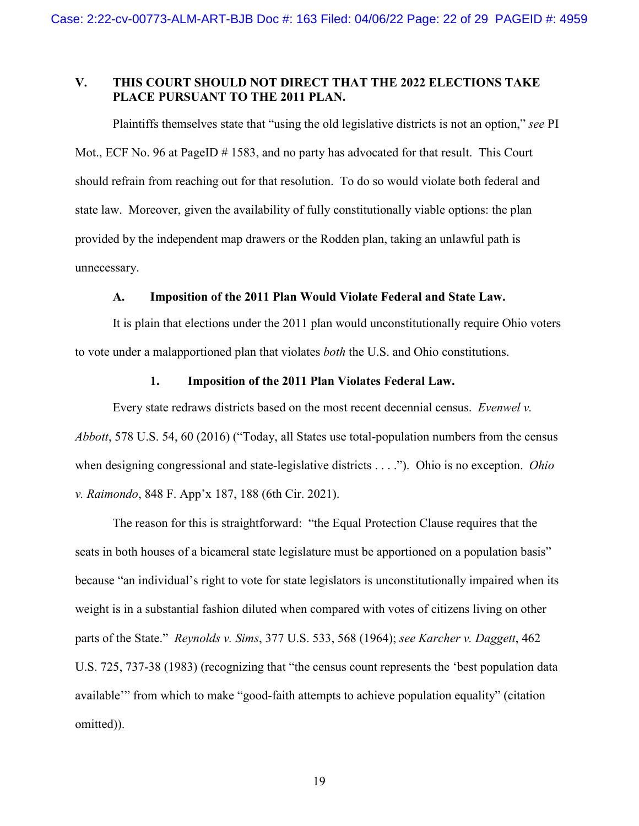# <span id="page-21-0"></span>**V. THIS COURT SHOULD NOT DIRECT THAT THE 2022 ELECTIONS TAKE PLACE PURSUANT TO THE 2011 PLAN.**

Plaintiffs themselves state that "using the old legislative districts is not an option," *see* PI Mot., ECF No. 96 at PageID # 1583, and no party has advocated for that result. This Court should refrain from reaching out for that resolution. To do so would violate both federal and state law. Moreover, given the availability of fully constitutionally viable options: the plan provided by the independent map drawers or the Rodden plan, taking an unlawful path is unnecessary.

### **A. Imposition of the 2011 Plan Would Violate Federal and State Law.**

<span id="page-21-1"></span>It is plain that elections under the 2011 plan would unconstitutionally require Ohio voters to vote under a malapportioned plan that violates *both* the U.S. and Ohio constitutions.

### **1. Imposition of the 2011 Plan Violates Federal Law.**

<span id="page-21-2"></span>Every state redraws districts based on the most recent decennial census. *Evenwel v. Abbott*, 578 U.S. 54, 60 (2016) ("Today, all States use total-population numbers from the census when designing congressional and state-legislative districts . . . ."). Ohio is no exception. *Ohio v. Raimondo*, 848 F. App'x 187, 188 (6th Cir. 2021).

The reason for this is straightforward: "the Equal Protection Clause requires that the seats in both houses of a bicameral state legislature must be apportioned on a population basis" because "an individual's right to vote for state legislators is unconstitutionally impaired when its weight is in a substantial fashion diluted when compared with votes of citizens living on other parts of the State." *Reynolds v. Sims*, 377 U.S. 533, 568 (1964); *see Karcher v. Daggett*, 462 U.S. 725, 737-38 (1983) (recognizing that "the census count represents the 'best population data available'" from which to make "good-faith attempts to achieve population equality" (citation omitted)).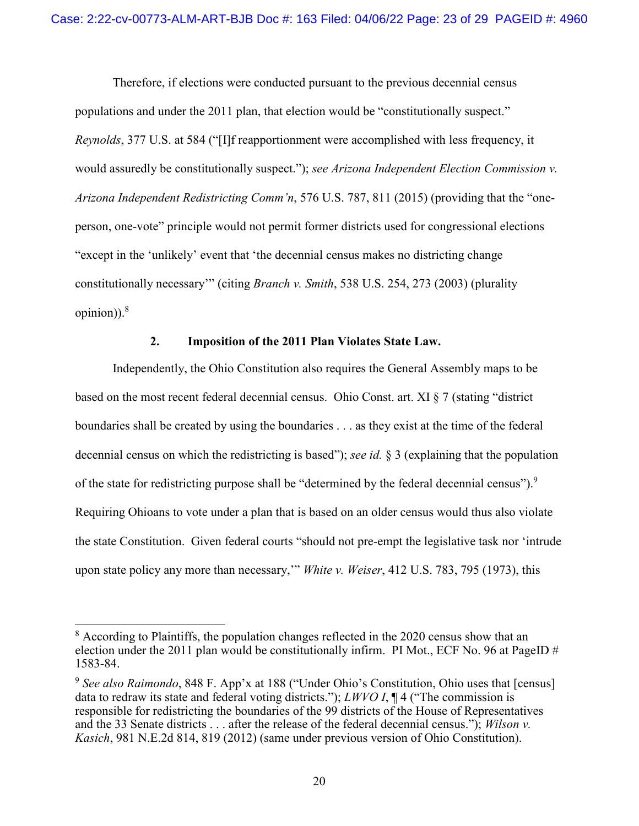Therefore, if elections were conducted pursuant to the previous decennial census populations and under the 2011 plan, that election would be "constitutionally suspect." *Reynolds*, 377 U.S. at 584 ("[I]f reapportionment were accomplished with less frequency, it would assuredly be constitutionally suspect."); *see Arizona Independent Election Commission v. Arizona Independent Redistricting Comm'n*, 576 U.S. 787, 811 (2015) (providing that the "oneperson, one-vote" principle would not permit former districts used for congressional elections "except in the 'unlikely' event that 'the decennial census makes no districting change constitutionally necessary'" (citing *Branch v. Smith*, 538 U.S. 254, 273 (2003) (plurality opinion)). $8$ 

# **2. Imposition of the 2011 Plan Violates State Law.**

<span id="page-22-0"></span>Independently, the Ohio Constitution also requires the General Assembly maps to be based on the most recent federal decennial census. Ohio Const. art. XI § 7 (stating "district boundaries shall be created by using the boundaries . . . as they exist at the time of the federal decennial census on which the redistricting is based"); *see id.* § 3 (explaining that the population of the state for redistricting purpose shall be "determined by the federal decennial census").<sup>9</sup> Requiring Ohioans to vote under a plan that is based on an older census would thus also violate the state Constitution. Given federal courts "should not pre-empt the legislative task nor 'intrude upon state policy any more than necessary,'" *White v. Weiser*, 412 U.S. 783, 795 (1973), this

 $8$  According to Plaintiffs, the population changes reflected in the 2020 census show that an election under the 2011 plan would be constitutionally infirm. PI Mot., ECF No. 96 at PageID # 1583-84.

<sup>&</sup>lt;sup>9</sup> See also Raimondo, 848 F. App'x at 188 ("Under Ohio's Constitution, Ohio uses that [census] data to redraw its state and federal voting districts."); *LWVO I*, ¶ 4 ("The commission is responsible for redistricting the boundaries of the 99 districts of the House of Representatives and the 33 Senate districts . . . after the release of the federal decennial census."); *Wilson v. Kasich*, 981 N.E.2d 814, 819 (2012) (same under previous version of Ohio Constitution).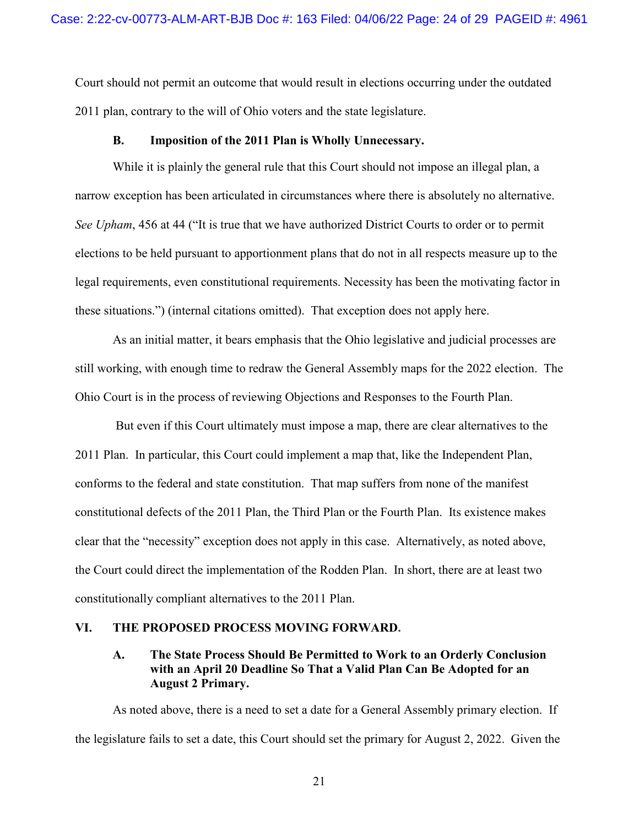Court should not permit an outcome that would result in elections occurring under the outdated 2011 plan, contrary to the will of Ohio voters and the state legislature.

### **B. Imposition of the 2011 Plan is Wholly Unnecessary.**

<span id="page-23-0"></span>While it is plainly the general rule that this Court should not impose an illegal plan, a narrow exception has been articulated in circumstances where there is absolutely no alternative. *See Upham*, 456 at 44 ("It is true that we have authorized District Courts to order or to permit elections to be held pursuant to apportionment plans that do not in all respects measure up to the legal requirements, even constitutional requirements. Necessity has been the motivating factor in these situations.") (internal citations omitted). That exception does not apply here.

As an initial matter, it bears emphasis that the Ohio legislative and judicial processes are still working, with enough time to redraw the General Assembly maps for the 2022 election. The Ohio Court is in the process of reviewing Objections and Responses to the Fourth Plan.

 But even if this Court ultimately must impose a map, there are clear alternatives to the 2011 Plan. In particular, this Court could implement a map that, like the Independent Plan, conforms to the federal and state constitution. That map suffers from none of the manifest constitutional defects of the 2011 Plan, the Third Plan or the Fourth Plan. Its existence makes clear that the "necessity" exception does not apply in this case. Alternatively, as noted above, the Court could direct the implementation of the Rodden Plan. In short, there are at least two constitutionally compliant alternatives to the 2011 Plan.

### <span id="page-23-2"></span><span id="page-23-1"></span>**VI. THE PROPOSED PROCESS MOVING FORWARD.**

# **A. The State Process Should Be Permitted to Work to an Orderly Conclusion with an April 20 Deadline So That a Valid Plan Can Be Adopted for an August 2 Primary.**

As noted above, there is a need to set a date for a General Assembly primary election. If the legislature fails to set a date, this Court should set the primary for August 2, 2022. Given the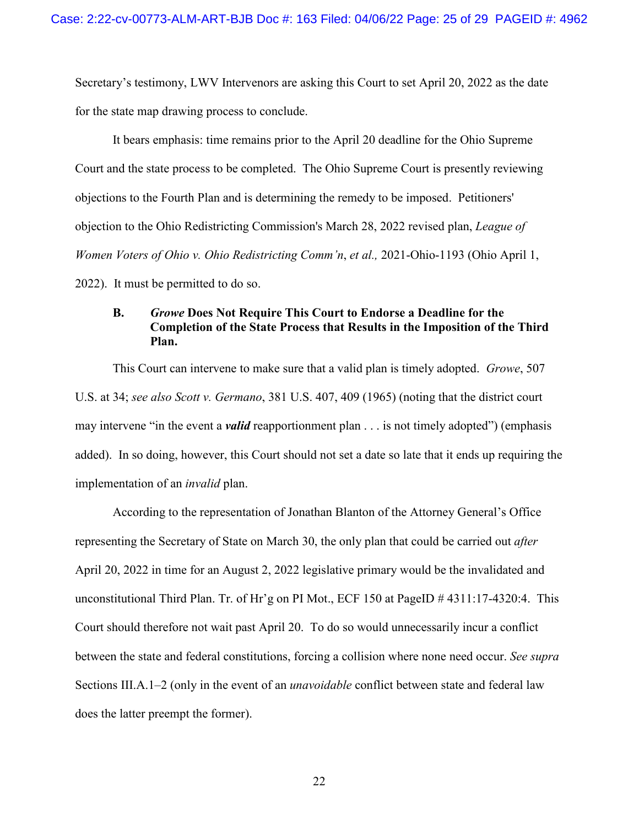Secretary's testimony, LWV Intervenors are asking this Court to set April 20, 2022 as the date for the state map drawing process to conclude.

It bears emphasis: time remains prior to the April 20 deadline for the Ohio Supreme Court and the state process to be completed. The Ohio Supreme Court is presently reviewing objections to the Fourth Plan and is determining the remedy to be imposed. Petitioners' objection to the Ohio Redistricting Commission's March 28, 2022 revised plan, *League of Women Voters of Ohio v. Ohio Redistricting Comm'n*, *et al.,* 2021-Ohio-1193 (Ohio April 1, 2022). It must be permitted to do so.

# <span id="page-24-0"></span>**B.** *Growe* **Does Not Require This Court to Endorse a Deadline for the Completion of the State Process that Results in the Imposition of the Third Plan.**

This Court can intervene to make sure that a valid plan is timely adopted. *Growe*, 507 U.S. at 34; *see also Scott v. Germano*, 381 U.S. 407, 409 (1965) (noting that the district court may intervene "in the event a *valid* reapportionment plan . . . is not timely adopted") (emphasis added). In so doing, however, this Court should not set a date so late that it ends up requiring the implementation of an *invalid* plan.

According to the representation of Jonathan Blanton of the Attorney General's Office representing the Secretary of State on March 30, the only plan that could be carried out *after* April 20, 2022 in time for an August 2, 2022 legislative primary would be the invalidated and unconstitutional Third Plan. Tr. of Hr'g on PI Mot., ECF 150 at PageID # 4311:17-4320:4. This Court should therefore not wait past April 20. To do so would unnecessarily incur a conflict between the state and federal constitutions, forcing a collision where none need occur. *See supra* Sections III.A.1–2 (only in the event of an *unavoidable* conflict between state and federal law does the latter preempt the former).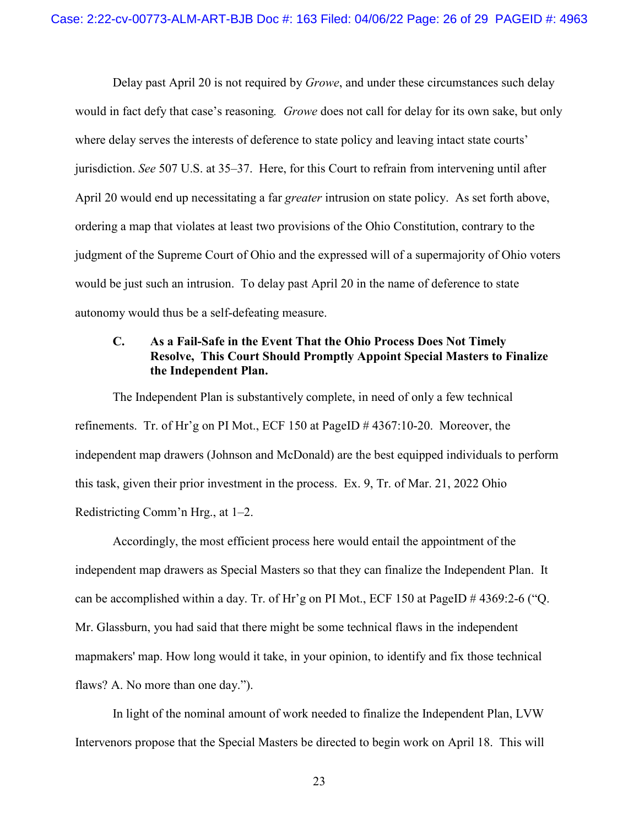Delay past April 20 is not required by *Growe*, and under these circumstances such delay would in fact defy that case's reasoning*. Growe* does not call for delay for its own sake, but only where delay serves the interests of deference to state policy and leaving intact state courts' jurisdiction. *See* 507 U.S. at 35–37. Here, for this Court to refrain from intervening until after April 20 would end up necessitating a far *greater* intrusion on state policy. As set forth above, ordering a map that violates at least two provisions of the Ohio Constitution, contrary to the judgment of the Supreme Court of Ohio and the expressed will of a supermajority of Ohio voters would be just such an intrusion. To delay past April 20 in the name of deference to state autonomy would thus be a self-defeating measure.

# <span id="page-25-0"></span>**C. As a Fail-Safe in the Event That the Ohio Process Does Not Timely Resolve, This Court Should Promptly Appoint Special Masters to Finalize the Independent Plan.**

The Independent Plan is substantively complete, in need of only a few technical refinements. Tr. of Hr'g on PI Mot., ECF 150 at PageID # 4367:10-20. Moreover, the independent map drawers (Johnson and McDonald) are the best equipped individuals to perform this task, given their prior investment in the process. Ex. 9, Tr. of Mar. 21, 2022 Ohio Redistricting Comm'n Hrg., at 1–2.

Accordingly, the most efficient process here would entail the appointment of the independent map drawers as Special Masters so that they can finalize the Independent Plan. It can be accomplished within a day. Tr. of Hr'g on PI Mot., ECF 150 at PageID # 4369:2-6 ("Q. Mr. Glassburn, you had said that there might be some technical flaws in the independent mapmakers' map. How long would it take, in your opinion, to identify and fix those technical flaws? A. No more than one day.").

In light of the nominal amount of work needed to finalize the Independent Plan, LVW Intervenors propose that the Special Masters be directed to begin work on April 18. This will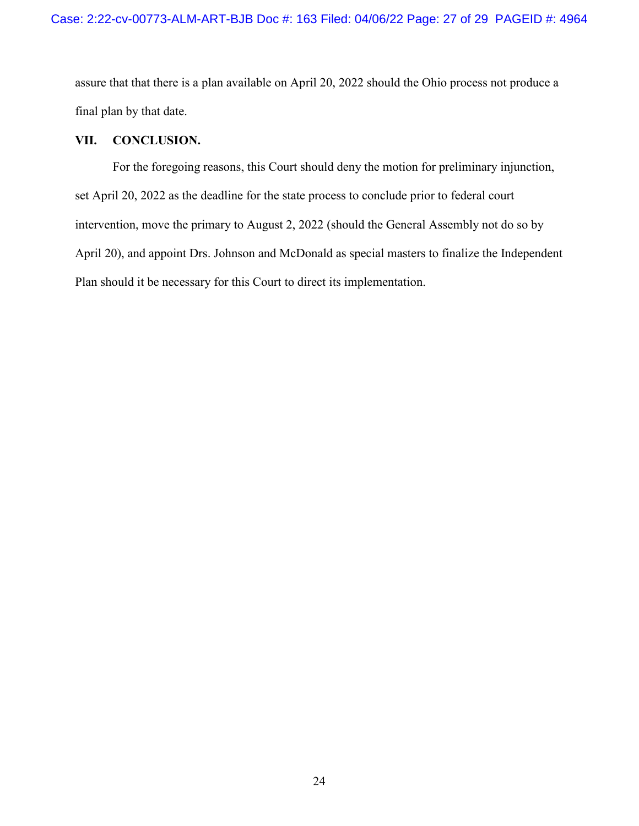assure that that there is a plan available on April 20, 2022 should the Ohio process not produce a final plan by that date.

# <span id="page-26-0"></span>**VII. CONCLUSION.**

For the foregoing reasons, this Court should deny the motion for preliminary injunction, set April 20, 2022 as the deadline for the state process to conclude prior to federal court intervention, move the primary to August 2, 2022 (should the General Assembly not do so by April 20), and appoint Drs. Johnson and McDonald as special masters to finalize the Independent Plan should it be necessary for this Court to direct its implementation.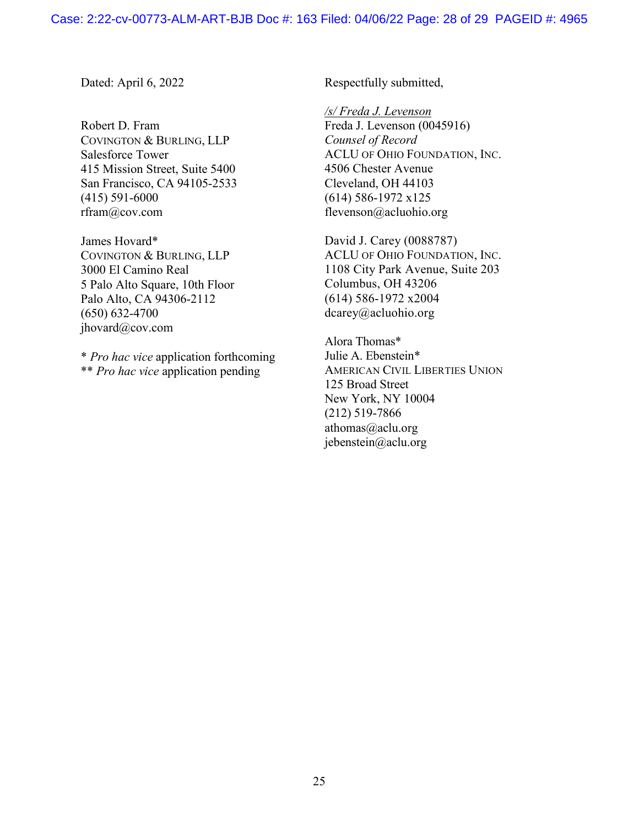Dated: April 6, 2022

Robert D. Fram COVINGTON & BURLING, LLP Salesforce Tower 415 Mission Street, Suite 5400 San Francisco, CA 94105-2533 (415) 591-6000 rfram@cov.com

James Hovard\* COVINGTON & BURLING, LLP 3000 El Camino Real 5 Palo Alto Square, 10th Floor Palo Alto, CA 94306-2112 (650) 632-4700 jhovard@cov.com

\* *Pro hac vice* application forthcoming \*\* *Pro hac vice* application pending

Respectfully submitted,

*/s/ Freda J. Levenson* 

Freda J. Levenson (0045916) *Counsel of Record*  ACLU OF OHIO FOUNDATION, INC. 4506 Chester Avenue Cleveland, OH 44103 (614) 586-1972 x125 flevenson@acluohio.org

David J. Carey (0088787) ACLU OF OHIO FOUNDATION, INC. 1108 City Park Avenue, Suite 203 Columbus, OH 43206 (614) 586-1972 x2004 dcarey@acluohio.org

Alora Thomas\* Julie A. Ebenstein\* AMERICAN CIVIL LIBERTIES UNION 125 Broad Street New York, NY 10004 (212) 519-7866 athomas@aclu.org jebenstein@aclu.org